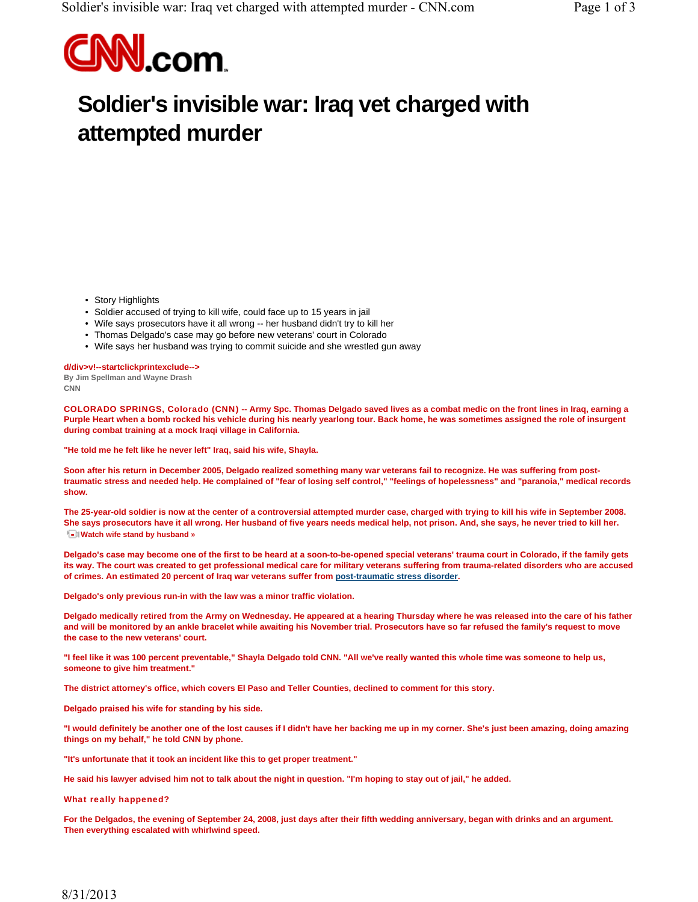

## **Soldier's invisible war: Iraq vet charged with attempted murder**

- Story Highlights
- Soldier accused of trying to kill wife, could face up to 15 years in jail
- Wife says prosecutors have it all wrong -- her husband didn't try to kill her
- Thomas Delgado's case may go before new veterans' court in Colorado
- Wife says her husband was trying to commit suicide and she wrestled gun away

## **d/div>v!--startclickprintexclude-->**

**By Jim Spellman and Wayne Drash CNN**

COLORADO SPRINGS, Colorado (CNN) **-- Army Spc. Thomas Delgado saved lives as a combat medic on the front lines in Iraq, earning a Purple Heart when a bomb rocked his vehicle during his nearly yearlong tour. Back home, he was sometimes assigned the role of insurgent during combat training at a mock Iraqi village in California.**

**"He told me he felt like he never left" Iraq, said his wife, Shayla.**

**Soon after his return in December 2005, Delgado realized something many war veterans fail to recognize. He was suffering from posttraumatic stress and needed help. He complained of "fear of losing self control," "feelings of hopelessness" and "paranoia," medical records show.**

**The 25-year-old soldier is now at the center of a controversial attempted murder case, charged with trying to kill his wife in September 2008. She says prosecutors have it all wrong. Her husband of five years needs medical help, not prison. And, she says, he never tried to kill her. Watch wife stand by husband »**

**Delgado's case may become one of the first to be heard at a soon-to-be-opened special veterans' trauma court in Colorado, if the family gets its way. The court was created to get professional medical care for military veterans suffering from trauma-related disorders who are accused of crimes. An estimated 20 percent of Iraq war veterans suffer from post-traumatic stress disorder.**

**Delgado's only previous run-in with the law was a minor traffic violation.**

**Delgado medically retired from the Army on Wednesday. He appeared at a hearing Thursday where he was released into the care of his father and will be monitored by an ankle bracelet while awaiting his November trial. Prosecutors have so far refused the family's request to move the case to the new veterans' court.**

**"I feel like it was 100 percent preventable," Shayla Delgado told CNN. "All we've really wanted this whole time was someone to help us, someone to give him treatment."**

**The district attorney's office, which covers El Paso and Teller Counties, declined to comment for this story.**

**Delgado praised his wife for standing by his side.**

**"I would definitely be another one of the lost causes if I didn't have her backing me up in my corner. She's just been amazing, doing amazing things on my behalf," he told CNN by phone.**

**"It's unfortunate that it took an incident like this to get proper treatment."**

**He said his lawyer advised him not to talk about the night in question. "I'm hoping to stay out of jail," he added.**

What really happened?

**For the Delgados, the evening of September 24, 2008, just days after their fifth wedding anniversary, began with drinks and an argument. Then everything escalated with whirlwind speed.**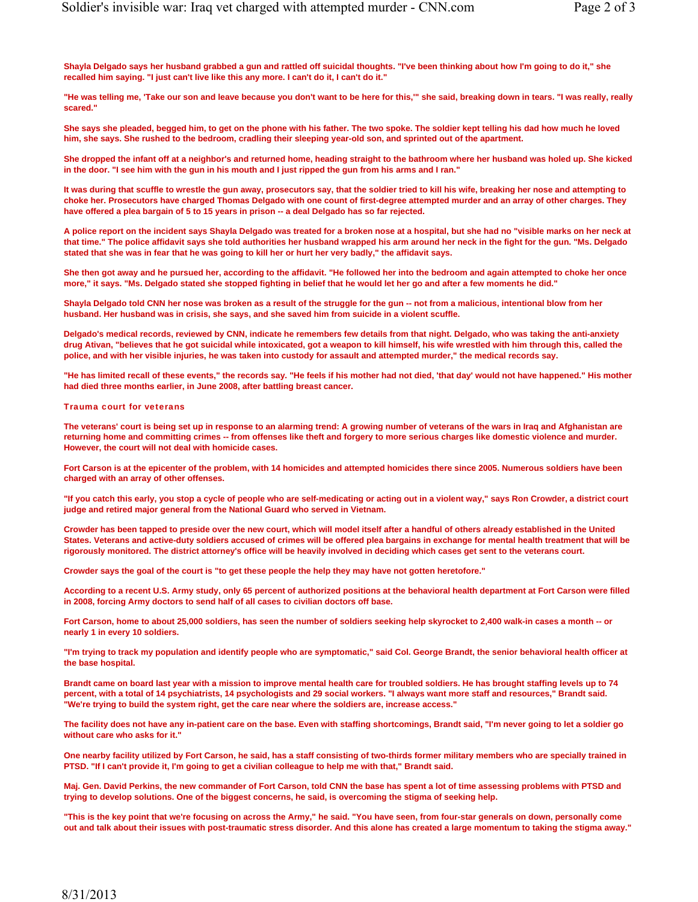**Shayla Delgado says her husband grabbed a gun and rattled off suicidal thoughts. "I've been thinking about how I'm going to do it," she recalled him saying. "I just can't live like this any more. I can't do it, I can't do it."**

**"He was telling me, 'Take our son and leave because you don't want to be here for this,'" she said, breaking down in tears. "I was really, really scared."**

**She says she pleaded, begged him, to get on the phone with his father. The two spoke. The soldier kept telling his dad how much he loved him, she says. She rushed to the bedroom, cradling their sleeping year-old son, and sprinted out of the apartment.**

**She dropped the infant off at a neighbor's and returned home, heading straight to the bathroom where her husband was holed up. She kicked in the door. "I see him with the gun in his mouth and I just ripped the gun from his arms and I ran."**

**It was during that scuffle to wrestle the gun away, prosecutors say, that the soldier tried to kill his wife, breaking her nose and attempting to choke her. Prosecutors have charged Thomas Delgado with one count of first-degree attempted murder and an array of other charges. They have offered a plea bargain of 5 to 15 years in prison -- a deal Delgado has so far rejected.**

**A police report on the incident says Shayla Delgado was treated for a broken nose at a hospital, but she had no "visible marks on her neck at that time." The police affidavit says she told authorities her husband wrapped his arm around her neck in the fight for the gun. "Ms. Delgado stated that she was in fear that he was going to kill her or hurt her very badly," the affidavit says.**

**She then got away and he pursued her, according to the affidavit. "He followed her into the bedroom and again attempted to choke her once more," it says. "Ms. Delgado stated she stopped fighting in belief that he would let her go and after a few moments he did."**

**Shayla Delgado told CNN her nose was broken as a result of the struggle for the gun -- not from a malicious, intentional blow from her husband. Her husband was in crisis, she says, and she saved him from suicide in a violent scuffle.**

**Delgado's medical records, reviewed by CNN, indicate he remembers few details from that night. Delgado, who was taking the anti-anxiety drug Ativan, "believes that he got suicidal while intoxicated, got a weapon to kill himself, his wife wrestled with him through this, called the police, and with her visible injuries, he was taken into custody for assault and attempted murder," the medical records say.**

**"He has limited recall of these events," the records say. "He feels if his mother had not died, 'that day' would not have happened." His mother had died three months earlier, in June 2008, after battling breast cancer.**

## Trauma court for veterans

**The veterans' court is being set up in response to an alarming trend: A growing number of veterans of the wars in Iraq and Afghanistan are returning home and committing crimes -- from offenses like theft and forgery to more serious charges like domestic violence and murder. However, the court will not deal with homicide cases.**

**Fort Carson is at the epicenter of the problem, with 14 homicides and attempted homicides there since 2005. Numerous soldiers have been charged with an array of other offenses.**

**"If you catch this early, you stop a cycle of people who are self-medicating or acting out in a violent way," says Ron Crowder, a district court judge and retired major general from the National Guard who served in Vietnam.**

**Crowder has been tapped to preside over the new court, which will model itself after a handful of others already established in the United States. Veterans and active-duty soldiers accused of crimes will be offered plea bargains in exchange for mental health treatment that will be rigorously monitored. The district attorney's office will be heavily involved in deciding which cases get sent to the veterans court.**

**Crowder says the goal of the court is "to get these people the help they may have not gotten heretofore."**

**According to a recent U.S. Army study, only 65 percent of authorized positions at the behavioral health department at Fort Carson were filled in 2008, forcing Army doctors to send half of all cases to civilian doctors off base.**

**Fort Carson, home to about 25,000 soldiers, has seen the number of soldiers seeking help skyrocket to 2,400 walk-in cases a month -- or nearly 1 in every 10 soldiers.**

**"I'm trying to track my population and identify people who are symptomatic," said Col. George Brandt, the senior behavioral health officer at the base hospital.**

**Brandt came on board last year with a mission to improve mental health care for troubled soldiers. He has brought staffing levels up to 74 percent, with a total of 14 psychiatrists, 14 psychologists and 29 social workers. "I always want more staff and resources," Brandt said. "We're trying to build the system right, get the care near where the soldiers are, increase access."**

**The facility does not have any in-patient care on the base. Even with staffing shortcomings, Brandt said, "I'm never going to let a soldier go without care who asks for it."**

**One nearby facility utilized by Fort Carson, he said, has a staff consisting of two-thirds former military members who are specially trained in PTSD. "If I can't provide it, I'm going to get a civilian colleague to help me with that," Brandt said.**

**Maj. Gen. David Perkins, the new commander of Fort Carson, told CNN the base has spent a lot of time assessing problems with PTSD and trying to develop solutions. One of the biggest concerns, he said, is overcoming the stigma of seeking help.**

**"This is the key point that we're focusing on across the Army," he said. "You have seen, from four-star generals on down, personally come out and talk about their issues with post-traumatic stress disorder. And this alone has created a large momentum to taking the stigma away."**